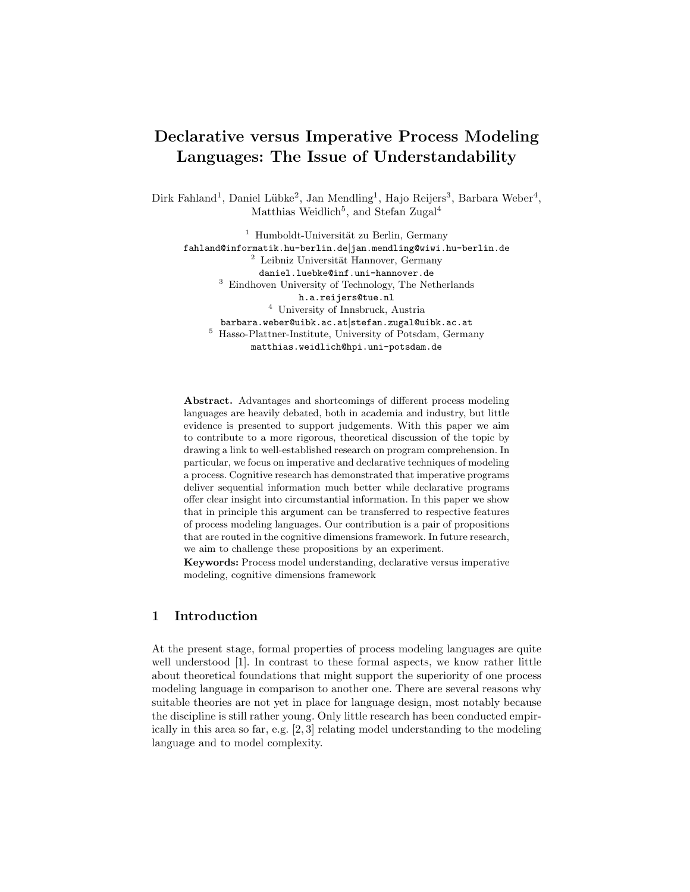# Declarative versus Imperative Process Modeling Languages: The Issue of Understandability

Dirk Fahland<sup>1</sup>, Daniel Lübke<sup>2</sup>, Jan Mendling<sup>1</sup>, Hajo Reijers<sup>3</sup>, Barbara Weber<sup>4</sup>, Matthias Weidlich<sup>5</sup>, and Stefan Zugal<sup>4</sup>

 $1$  Humboldt-Universität zu Berlin, Germany fahland@informatik.hu-berlin.de|jan.mendling@wiwi.hu-berlin.de  $2$  Leibniz Universität Hannover, Germany daniel.luebke@inf.uni-hannover.de <sup>3</sup> Eindhoven University of Technology, The Netherlands h.a.reijers@tue.nl <sup>4</sup> University of Innsbruck, Austria barbara.weber@uibk.ac.at|stefan.zugal@uibk.ac.at <sup>5</sup> Hasso-Plattner-Institute, University of Potsdam, Germany matthias.weidlich@hpi.uni-potsdam.de

Abstract. Advantages and shortcomings of different process modeling languages are heavily debated, both in academia and industry, but little evidence is presented to support judgements. With this paper we aim to contribute to a more rigorous, theoretical discussion of the topic by drawing a link to well-established research on program comprehension. In particular, we focus on imperative and declarative techniques of modeling a process. Cognitive research has demonstrated that imperative programs deliver sequential information much better while declarative programs offer clear insight into circumstantial information. In this paper we show that in principle this argument can be transferred to respective features of process modeling languages. Our contribution is a pair of propositions that are routed in the cognitive dimensions framework. In future research, we aim to challenge these propositions by an experiment.

Keywords: Process model understanding, declarative versus imperative modeling, cognitive dimensions framework

## 1 Introduction

At the present stage, formal properties of process modeling languages are quite well understood [1]. In contrast to these formal aspects, we know rather little about theoretical foundations that might support the superiority of one process modeling language in comparison to another one. There are several reasons why suitable theories are not yet in place for language design, most notably because the discipline is still rather young. Only little research has been conducted empirically in this area so far, e.g. [2, 3] relating model understanding to the modeling language and to model complexity.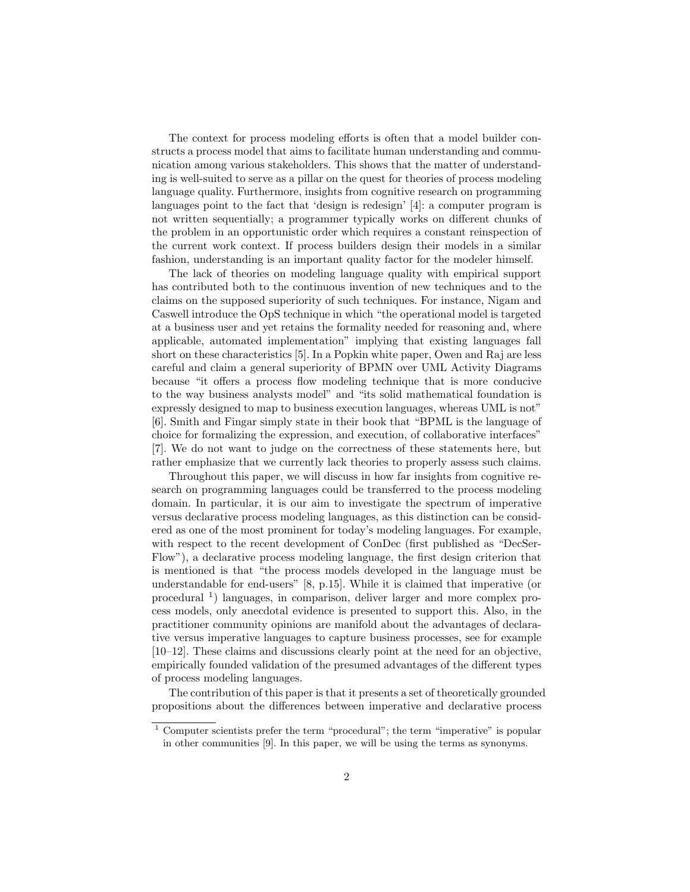The context for process modeling efforts is often that a model builder constructs a process model that aims to facilitate human understanding and communication among various stakeholders. This shows that the matter of understanding is well-suited to serve as a pillar on the quest for theories of process modeling language quality. Furthermore, insights from cognitive research on programming languages point to the fact that 'design is redesign' [4]: a computer program is not written sequentially; a programmer typically works on different chunks of the problem in an opportunistic order which requires a constant reinspection of the current work context. If process builders design their models in a similar fashion, understanding is an important quality factor for the modeler himself.

The lack of theories on modeling language quality with empirical support has contributed both to the continuous invention of new techniques and to the claims on the supposed superiority of such techniques. For instance, Nigam and Caswell introduce the OpS technique in which "the operational model is targeted at a business user and yet retains the formality needed for reasoning and, where applicable, automated implementation" implying that existing languages fall short on these characteristics [5]. In a Popkin white paper, Owen and Raj are less careful and claim a general superiority of BPMN over UML Activity Diagrams because "it offers a process flow modeling technique that is more conducive to the way business analysts model" and "its solid mathematical foundation is expressly designed to map to business execution languages, whereas UML is not" [6]. Smith and Fingar simply state in their book that "BPML is the language of choice for formalizing the expression, and execution, of collaborative interfaces" [7]. We do not want to judge on the correctness of these statements here, but rather emphasize that we currently lack theories to properly assess such claims.

Throughout this paper, we will discuss in how far insights from cognitive research on programming languages could be transferred to the process modeling domain. In particular, it is our aim to investigate the spectrum of imperative versus declarative process modeling languages, as this distinction can be considered as one of the most prominent for today's modeling languages. For example, with respect to the recent development of ConDec (first published as "DecSer-Flow"), a declarative process modeling language, the first design criterion that is mentioned is that "the process models developed in the language must be understandable for end-users" [8, p.15]. While it is claimed that imperative (or procedural <sup>1</sup> ) languages, in comparison, deliver larger and more complex process models, only anecdotal evidence is presented to support this. Also, in the practitioner community opinions are manifold about the advantages of declarative versus imperative languages to capture business processes, see for example [10–12]. These claims and discussions clearly point at the need for an objective, empirically founded validation of the presumed advantages of the different types of process modeling languages.

The contribution of this paper is that it presents a set of theoretically grounded propositions about the differences between imperative and declarative process

 $1$  Computer scientists prefer the term "procedural"; the term "imperative" is popular in other communities [9]. In this paper, we will be using the terms as synonyms.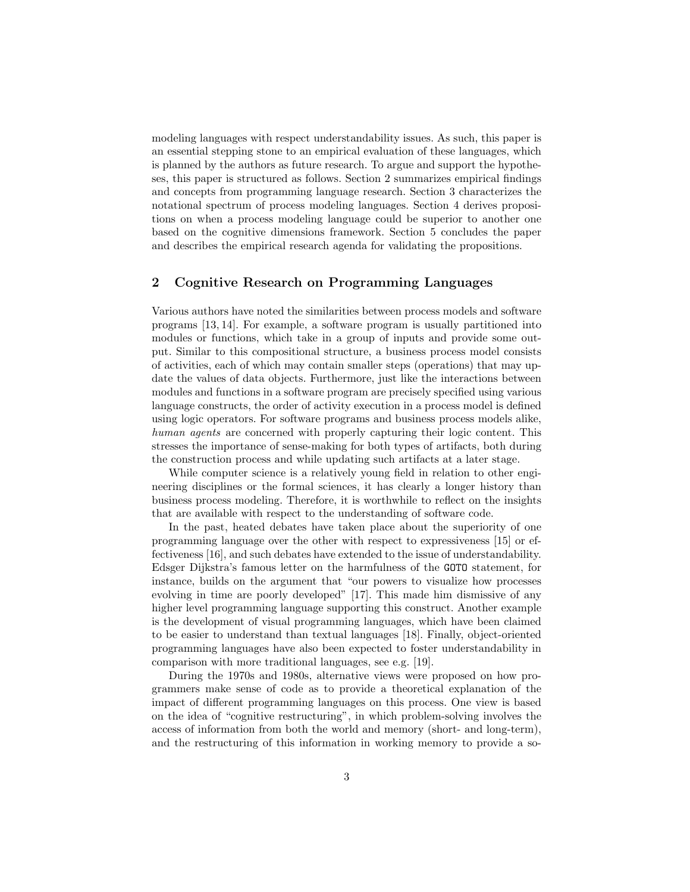modeling languages with respect understandability issues. As such, this paper is an essential stepping stone to an empirical evaluation of these languages, which is planned by the authors as future research. To argue and support the hypotheses, this paper is structured as follows. Section 2 summarizes empirical findings and concepts from programming language research. Section 3 characterizes the notational spectrum of process modeling languages. Section 4 derives propositions on when a process modeling language could be superior to another one based on the cognitive dimensions framework. Section 5 concludes the paper and describes the empirical research agenda for validating the propositions.

## 2 Cognitive Research on Programming Languages

Various authors have noted the similarities between process models and software programs [13, 14]. For example, a software program is usually partitioned into modules or functions, which take in a group of inputs and provide some output. Similar to this compositional structure, a business process model consists of activities, each of which may contain smaller steps (operations) that may update the values of data objects. Furthermore, just like the interactions between modules and functions in a software program are precisely specified using various language constructs, the order of activity execution in a process model is defined using logic operators. For software programs and business process models alike, human agents are concerned with properly capturing their logic content. This stresses the importance of sense-making for both types of artifacts, both during the construction process and while updating such artifacts at a later stage.

While computer science is a relatively young field in relation to other engineering disciplines or the formal sciences, it has clearly a longer history than business process modeling. Therefore, it is worthwhile to reflect on the insights that are available with respect to the understanding of software code.

In the past, heated debates have taken place about the superiority of one programming language over the other with respect to expressiveness [15] or effectiveness [16], and such debates have extended to the issue of understandability. Edsger Dijkstra's famous letter on the harmfulness of the GOTO statement, for instance, builds on the argument that "our powers to visualize how processes evolving in time are poorly developed" [17]. This made him dismissive of any higher level programming language supporting this construct. Another example is the development of visual programming languages, which have been claimed to be easier to understand than textual languages [18]. Finally, object-oriented programming languages have also been expected to foster understandability in comparison with more traditional languages, see e.g. [19].

During the 1970s and 1980s, alternative views were proposed on how programmers make sense of code as to provide a theoretical explanation of the impact of different programming languages on this process. One view is based on the idea of "cognitive restructuring", in which problem-solving involves the access of information from both the world and memory (short- and long-term), and the restructuring of this information in working memory to provide a so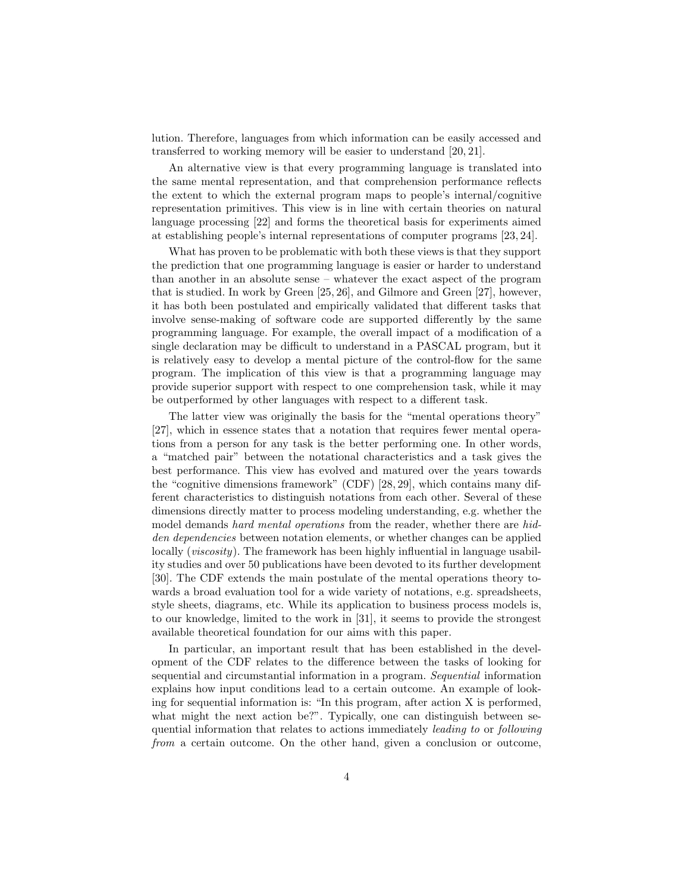lution. Therefore, languages from which information can be easily accessed and transferred to working memory will be easier to understand [20, 21].

An alternative view is that every programming language is translated into the same mental representation, and that comprehension performance reflects the extent to which the external program maps to people's internal/cognitive representation primitives. This view is in line with certain theories on natural language processing [22] and forms the theoretical basis for experiments aimed at establishing people's internal representations of computer programs [23, 24].

What has proven to be problematic with both these views is that they support the prediction that one programming language is easier or harder to understand than another in an absolute sense – whatever the exact aspect of the program that is studied. In work by Green [25, 26], and Gilmore and Green [27], however, it has both been postulated and empirically validated that different tasks that involve sense-making of software code are supported differently by the same programming language. For example, the overall impact of a modification of a single declaration may be difficult to understand in a PASCAL program, but it is relatively easy to develop a mental picture of the control-flow for the same program. The implication of this view is that a programming language may provide superior support with respect to one comprehension task, while it may be outperformed by other languages with respect to a different task.

The latter view was originally the basis for the "mental operations theory" [27], which in essence states that a notation that requires fewer mental operations from a person for any task is the better performing one. In other words, a "matched pair" between the notational characteristics and a task gives the best performance. This view has evolved and matured over the years towards the "cognitive dimensions framework" (CDF) [28, 29], which contains many different characteristics to distinguish notations from each other. Several of these dimensions directly matter to process modeling understanding, e.g. whether the model demands hard mental operations from the reader, whether there are hidden dependencies between notation elements, or whether changes can be applied locally *(viscosity)*. The framework has been highly influential in language usability studies and over 50 publications have been devoted to its further development [30]. The CDF extends the main postulate of the mental operations theory towards a broad evaluation tool for a wide variety of notations, e.g. spreadsheets, style sheets, diagrams, etc. While its application to business process models is, to our knowledge, limited to the work in [31], it seems to provide the strongest available theoretical foundation for our aims with this paper.

In particular, an important result that has been established in the development of the CDF relates to the difference between the tasks of looking for sequential and circumstantial information in a program. Sequential information explains how input conditions lead to a certain outcome. An example of looking for sequential information is: "In this program, after action X is performed, what might the next action be?". Typically, one can distinguish between sequential information that relates to actions immediately leading to or following from a certain outcome. On the other hand, given a conclusion or outcome,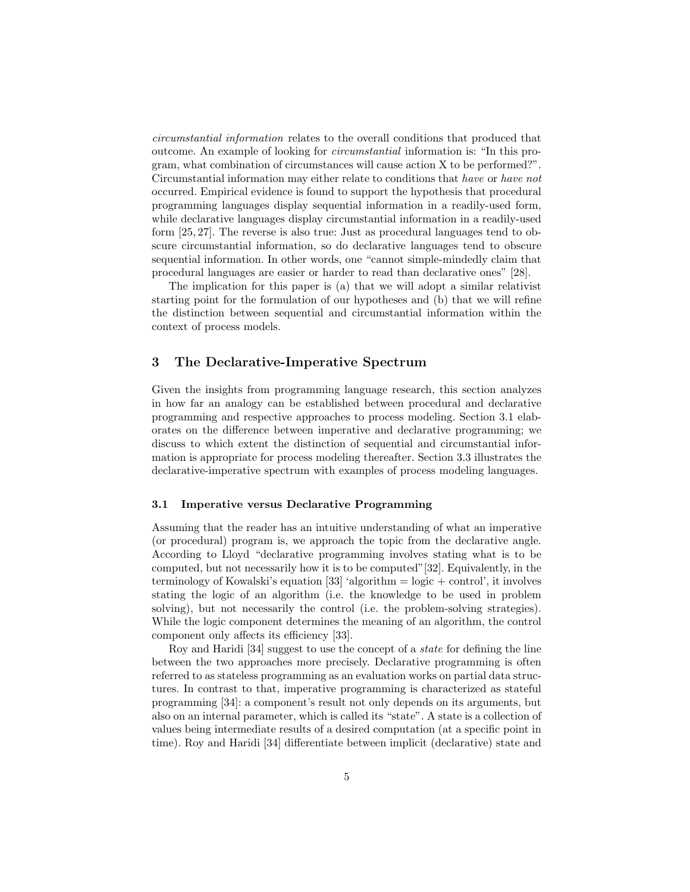circumstantial information relates to the overall conditions that produced that outcome. An example of looking for circumstantial information is: "In this program, what combination of circumstances will cause action X to be performed?". Circumstantial information may either relate to conditions that have or have not occurred. Empirical evidence is found to support the hypothesis that procedural programming languages display sequential information in a readily-used form, while declarative languages display circumstantial information in a readily-used form [25, 27]. The reverse is also true: Just as procedural languages tend to obscure circumstantial information, so do declarative languages tend to obscure sequential information. In other words, one "cannot simple-mindedly claim that procedural languages are easier or harder to read than declarative ones" [28].

The implication for this paper is (a) that we will adopt a similar relativist starting point for the formulation of our hypotheses and (b) that we will refine the distinction between sequential and circumstantial information within the context of process models.

## 3 The Declarative-Imperative Spectrum

Given the insights from programming language research, this section analyzes in how far an analogy can be established between procedural and declarative programming and respective approaches to process modeling. Section 3.1 elaborates on the difference between imperative and declarative programming; we discuss to which extent the distinction of sequential and circumstantial information is appropriate for process modeling thereafter. Section 3.3 illustrates the declarative-imperative spectrum with examples of process modeling languages.

#### 3.1 Imperative versus Declarative Programming

Assuming that the reader has an intuitive understanding of what an imperative (or procedural) program is, we approach the topic from the declarative angle. According to Lloyd "declarative programming involves stating what is to be computed, but not necessarily how it is to be computed"[32]. Equivalently, in the terminology of Kowalski's equation [33] 'algorithm  $=$  logic  $+$  control', it involves stating the logic of an algorithm (i.e. the knowledge to be used in problem solving), but not necessarily the control (i.e. the problem-solving strategies). While the logic component determines the meaning of an algorithm, the control component only affects its efficiency [33].

Roy and Haridi [34] suggest to use the concept of a state for defining the line between the two approaches more precisely. Declarative programming is often referred to as stateless programming as an evaluation works on partial data structures. In contrast to that, imperative programming is characterized as stateful programming [34]: a component's result not only depends on its arguments, but also on an internal parameter, which is called its "state". A state is a collection of values being intermediate results of a desired computation (at a specific point in time). Roy and Haridi [34] differentiate between implicit (declarative) state and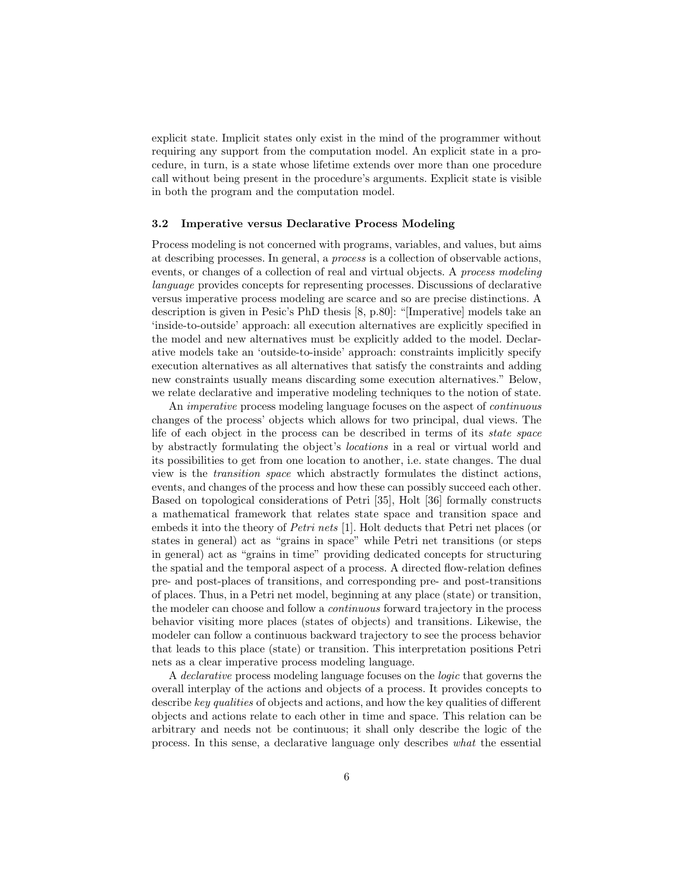explicit state. Implicit states only exist in the mind of the programmer without requiring any support from the computation model. An explicit state in a procedure, in turn, is a state whose lifetime extends over more than one procedure call without being present in the procedure's arguments. Explicit state is visible in both the program and the computation model.

#### 3.2 Imperative versus Declarative Process Modeling

Process modeling is not concerned with programs, variables, and values, but aims at describing processes. In general, a process is a collection of observable actions, events, or changes of a collection of real and virtual objects. A process modeling language provides concepts for representing processes. Discussions of declarative versus imperative process modeling are scarce and so are precise distinctions. A description is given in Pesic's PhD thesis [8, p.80]: "[Imperative] models take an 'inside-to-outside' approach: all execution alternatives are explicitly specified in the model and new alternatives must be explicitly added to the model. Declarative models take an 'outside-to-inside' approach: constraints implicitly specify execution alternatives as all alternatives that satisfy the constraints and adding new constraints usually means discarding some execution alternatives." Below, we relate declarative and imperative modeling techniques to the notion of state.

An imperative process modeling language focuses on the aspect of continuous changes of the process' objects which allows for two principal, dual views. The life of each object in the process can be described in terms of its state space by abstractly formulating the object's locations in a real or virtual world and its possibilities to get from one location to another, i.e. state changes. The dual view is the transition space which abstractly formulates the distinct actions, events, and changes of the process and how these can possibly succeed each other. Based on topological considerations of Petri [35], Holt [36] formally constructs a mathematical framework that relates state space and transition space and embeds it into the theory of *Petri nets* [1]. Holt deducts that Petri net places (or states in general) act as "grains in space" while Petri net transitions (or steps in general) act as "grains in time" providing dedicated concepts for structuring the spatial and the temporal aspect of a process. A directed flow-relation defines pre- and post-places of transitions, and corresponding pre- and post-transitions of places. Thus, in a Petri net model, beginning at any place (state) or transition, the modeler can choose and follow a continuous forward trajectory in the process behavior visiting more places (states of objects) and transitions. Likewise, the modeler can follow a continuous backward trajectory to see the process behavior that leads to this place (state) or transition. This interpretation positions Petri nets as a clear imperative process modeling language.

A declarative process modeling language focuses on the logic that governs the overall interplay of the actions and objects of a process. It provides concepts to describe key qualities of objects and actions, and how the key qualities of different objects and actions relate to each other in time and space. This relation can be arbitrary and needs not be continuous; it shall only describe the logic of the process. In this sense, a declarative language only describes what the essential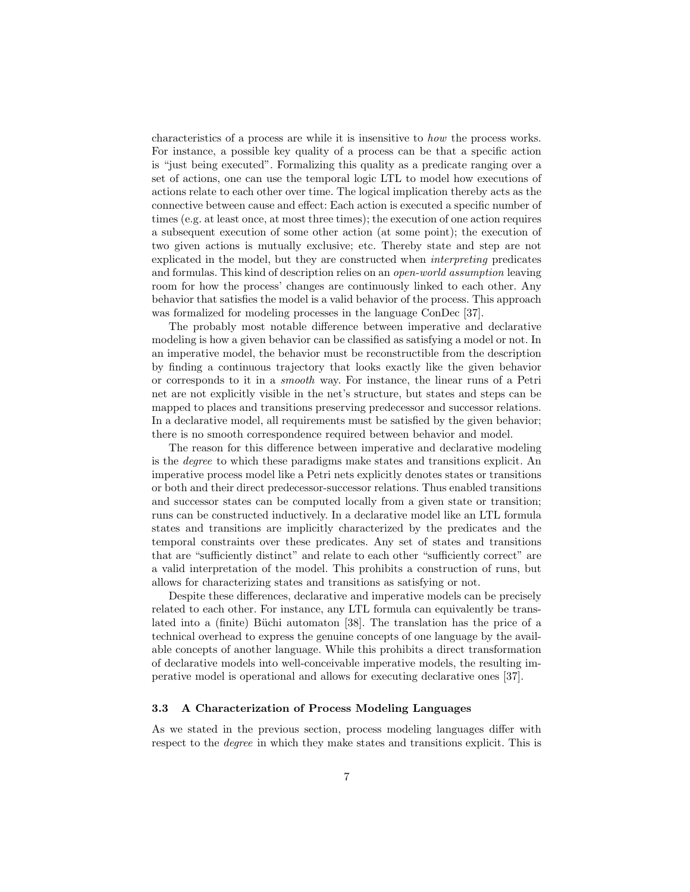characteristics of a process are while it is insensitive to how the process works. For instance, a possible key quality of a process can be that a specific action is "just being executed". Formalizing this quality as a predicate ranging over a set of actions, one can use the temporal logic LTL to model how executions of actions relate to each other over time. The logical implication thereby acts as the connective between cause and effect: Each action is executed a specific number of times (e.g. at least once, at most three times); the execution of one action requires a subsequent execution of some other action (at some point); the execution of two given actions is mutually exclusive; etc. Thereby state and step are not explicated in the model, but they are constructed when interpreting predicates and formulas. This kind of description relies on an open-world assumption leaving room for how the process' changes are continuously linked to each other. Any behavior that satisfies the model is a valid behavior of the process. This approach was formalized for modeling processes in the language ConDec [37].

The probably most notable difference between imperative and declarative modeling is how a given behavior can be classified as satisfying a model or not. In an imperative model, the behavior must be reconstructible from the description by finding a continuous trajectory that looks exactly like the given behavior or corresponds to it in a smooth way. For instance, the linear runs of a Petri net are not explicitly visible in the net's structure, but states and steps can be mapped to places and transitions preserving predecessor and successor relations. In a declarative model, all requirements must be satisfied by the given behavior; there is no smooth correspondence required between behavior and model.

The reason for this difference between imperative and declarative modeling is the degree to which these paradigms make states and transitions explicit. An imperative process model like a Petri nets explicitly denotes states or transitions or both and their direct predecessor-successor relations. Thus enabled transitions and successor states can be computed locally from a given state or transition; runs can be constructed inductively. In a declarative model like an LTL formula states and transitions are implicitly characterized by the predicates and the temporal constraints over these predicates. Any set of states and transitions that are "sufficiently distinct" and relate to each other "sufficiently correct" are a valid interpretation of the model. This prohibits a construction of runs, but allows for characterizing states and transitions as satisfying or not.

Despite these differences, declarative and imperative models can be precisely related to each other. For instance, any LTL formula can equivalently be translated into a (finite) Büchi automaton  $[38]$ . The translation has the price of a technical overhead to express the genuine concepts of one language by the available concepts of another language. While this prohibits a direct transformation of declarative models into well-conceivable imperative models, the resulting imperative model is operational and allows for executing declarative ones [37].

#### 3.3 A Characterization of Process Modeling Languages

As we stated in the previous section, process modeling languages differ with respect to the *degree* in which they make states and transitions explicit. This is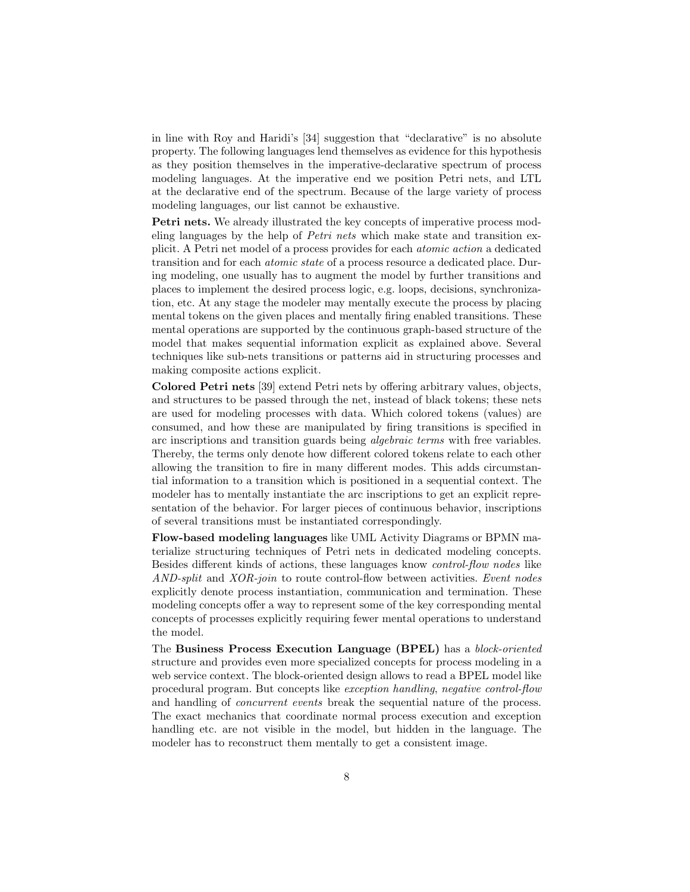in line with Roy and Haridi's [34] suggestion that "declarative" is no absolute property. The following languages lend themselves as evidence for this hypothesis as they position themselves in the imperative-declarative spectrum of process modeling languages. At the imperative end we position Petri nets, and LTL at the declarative end of the spectrum. Because of the large variety of process modeling languages, our list cannot be exhaustive.

Petri nets. We already illustrated the key concepts of imperative process modeling languages by the help of Petri nets which make state and transition explicit. A Petri net model of a process provides for each atomic action a dedicated transition and for each atomic state of a process resource a dedicated place. During modeling, one usually has to augment the model by further transitions and places to implement the desired process logic, e.g. loops, decisions, synchronization, etc. At any stage the modeler may mentally execute the process by placing mental tokens on the given places and mentally firing enabled transitions. These mental operations are supported by the continuous graph-based structure of the model that makes sequential information explicit as explained above. Several techniques like sub-nets transitions or patterns aid in structuring processes and making composite actions explicit.

Colored Petri nets [39] extend Petri nets by offering arbitrary values, objects, and structures to be passed through the net, instead of black tokens; these nets are used for modeling processes with data. Which colored tokens (values) are consumed, and how these are manipulated by firing transitions is specified in arc inscriptions and transition guards being algebraic terms with free variables. Thereby, the terms only denote how different colored tokens relate to each other allowing the transition to fire in many different modes. This adds circumstantial information to a transition which is positioned in a sequential context. The modeler has to mentally instantiate the arc inscriptions to get an explicit representation of the behavior. For larger pieces of continuous behavior, inscriptions of several transitions must be instantiated correspondingly.

Flow-based modeling languages like UML Activity Diagrams or BPMN materialize structuring techniques of Petri nets in dedicated modeling concepts. Besides different kinds of actions, these languages know control-flow nodes like AND-split and XOR-join to route control-flow between activities. Event nodes explicitly denote process instantiation, communication and termination. These modeling concepts offer a way to represent some of the key corresponding mental concepts of processes explicitly requiring fewer mental operations to understand the model.

The Business Process Execution Language (BPEL) has a block-oriented structure and provides even more specialized concepts for process modeling in a web service context. The block-oriented design allows to read a BPEL model like procedural program. But concepts like exception handling, negative control-flow and handling of concurrent events break the sequential nature of the process. The exact mechanics that coordinate normal process execution and exception handling etc. are not visible in the model, but hidden in the language. The modeler has to reconstruct them mentally to get a consistent image.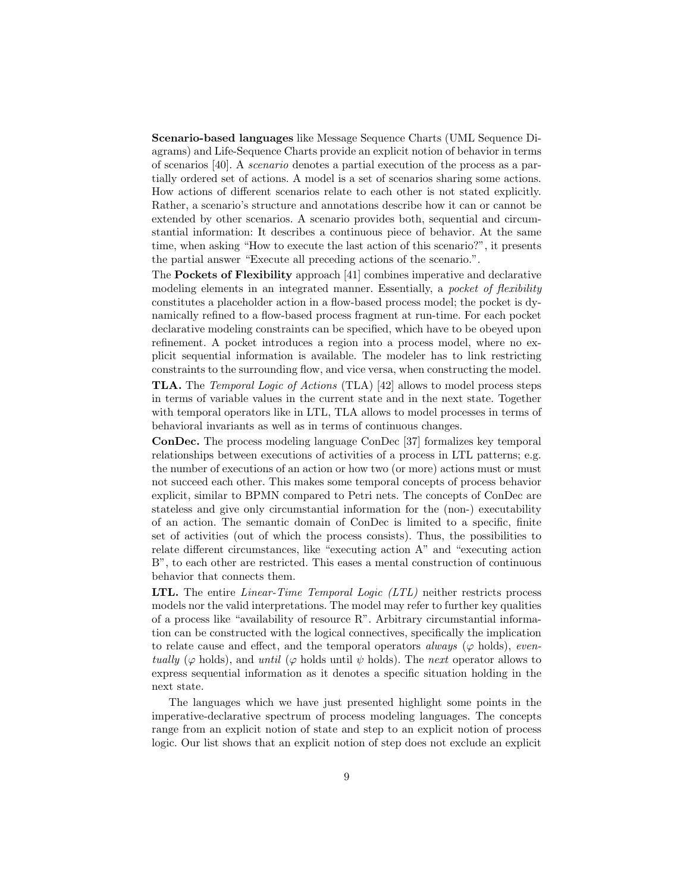Scenario-based languages like Message Sequence Charts (UML Sequence Diagrams) and Life-Sequence Charts provide an explicit notion of behavior in terms of scenarios [40]. A scenario denotes a partial execution of the process as a partially ordered set of actions. A model is a set of scenarios sharing some actions. How actions of different scenarios relate to each other is not stated explicitly. Rather, a scenario's structure and annotations describe how it can or cannot be extended by other scenarios. A scenario provides both, sequential and circumstantial information: It describes a continuous piece of behavior. At the same time, when asking "How to execute the last action of this scenario?", it presents the partial answer "Execute all preceding actions of the scenario.".

The Pockets of Flexibility approach [41] combines imperative and declarative modeling elements in an integrated manner. Essentially, a pocket of flexibility constitutes a placeholder action in a flow-based process model; the pocket is dynamically refined to a flow-based process fragment at run-time. For each pocket declarative modeling constraints can be specified, which have to be obeyed upon refinement. A pocket introduces a region into a process model, where no explicit sequential information is available. The modeler has to link restricting constraints to the surrounding flow, and vice versa, when constructing the model.

TLA. The Temporal Logic of Actions (TLA) [42] allows to model process steps in terms of variable values in the current state and in the next state. Together with temporal operators like in LTL, TLA allows to model processes in terms of behavioral invariants as well as in terms of continuous changes.

ConDec. The process modeling language ConDec [37] formalizes key temporal relationships between executions of activities of a process in LTL patterns; e.g. the number of executions of an action or how two (or more) actions must or must not succeed each other. This makes some temporal concepts of process behavior explicit, similar to BPMN compared to Petri nets. The concepts of ConDec are stateless and give only circumstantial information for the (non-) executability of an action. The semantic domain of ConDec is limited to a specific, finite set of activities (out of which the process consists). Thus, the possibilities to relate different circumstances, like "executing action A" and "executing action B", to each other are restricted. This eases a mental construction of continuous behavior that connects them.

LTL. The entire Linear-Time Temporal Logic (LTL) neither restricts process models nor the valid interpretations. The model may refer to further key qualities of a process like "availability of resource R". Arbitrary circumstantial information can be constructed with the logical connectives, specifically the implication to relate cause and effect, and the temporal operators *always* ( $\varphi$  holds), eventually ( $\varphi$  holds), and until ( $\varphi$  holds until  $\psi$  holds). The next operator allows to express sequential information as it denotes a specific situation holding in the next state.

The languages which we have just presented highlight some points in the imperative-declarative spectrum of process modeling languages. The concepts range from an explicit notion of state and step to an explicit notion of process logic. Our list shows that an explicit notion of step does not exclude an explicit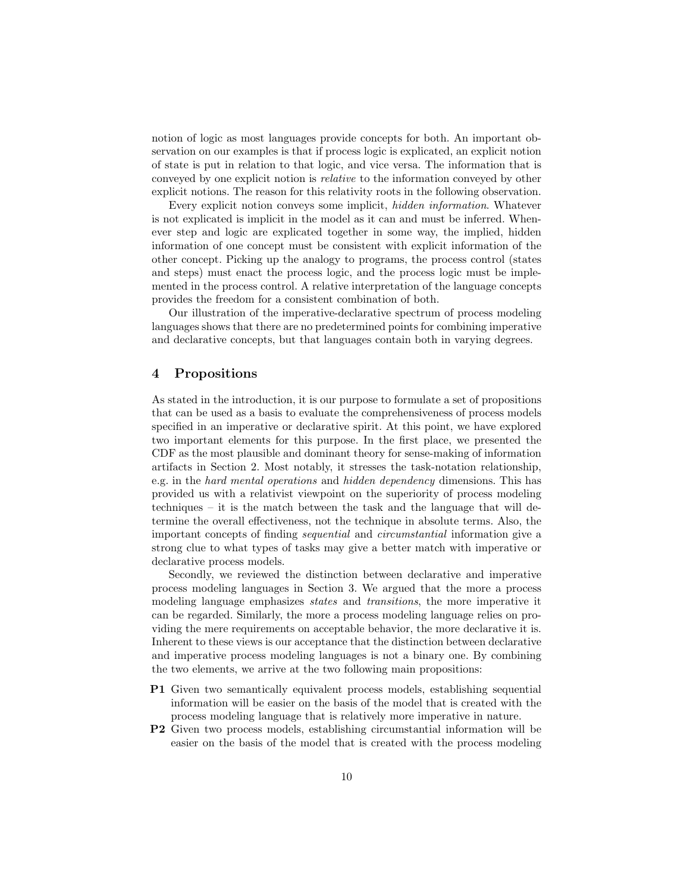notion of logic as most languages provide concepts for both. An important observation on our examples is that if process logic is explicated, an explicit notion of state is put in relation to that logic, and vice versa. The information that is conveyed by one explicit notion is relative to the information conveyed by other explicit notions. The reason for this relativity roots in the following observation.

Every explicit notion conveys some implicit, hidden information. Whatever is not explicated is implicit in the model as it can and must be inferred. Whenever step and logic are explicated together in some way, the implied, hidden information of one concept must be consistent with explicit information of the other concept. Picking up the analogy to programs, the process control (states and steps) must enact the process logic, and the process logic must be implemented in the process control. A relative interpretation of the language concepts provides the freedom for a consistent combination of both.

Our illustration of the imperative-declarative spectrum of process modeling languages shows that there are no predetermined points for combining imperative and declarative concepts, but that languages contain both in varying degrees.

## 4 Propositions

As stated in the introduction, it is our purpose to formulate a set of propositions that can be used as a basis to evaluate the comprehensiveness of process models specified in an imperative or declarative spirit. At this point, we have explored two important elements for this purpose. In the first place, we presented the CDF as the most plausible and dominant theory for sense-making of information artifacts in Section 2. Most notably, it stresses the task-notation relationship, e.g. in the hard mental operations and hidden dependency dimensions. This has provided us with a relativist viewpoint on the superiority of process modeling techniques – it is the match between the task and the language that will determine the overall effectiveness, not the technique in absolute terms. Also, the important concepts of finding sequential and circumstantial information give a strong clue to what types of tasks may give a better match with imperative or declarative process models.

Secondly, we reviewed the distinction between declarative and imperative process modeling languages in Section 3. We argued that the more a process modeling language emphasizes *states* and *transitions*, the more imperative it can be regarded. Similarly, the more a process modeling language relies on providing the mere requirements on acceptable behavior, the more declarative it is. Inherent to these views is our acceptance that the distinction between declarative and imperative process modeling languages is not a binary one. By combining the two elements, we arrive at the two following main propositions:

- P1 Given two semantically equivalent process models, establishing sequential information will be easier on the basis of the model that is created with the process modeling language that is relatively more imperative in nature.
- P2 Given two process models, establishing circumstantial information will be easier on the basis of the model that is created with the process modeling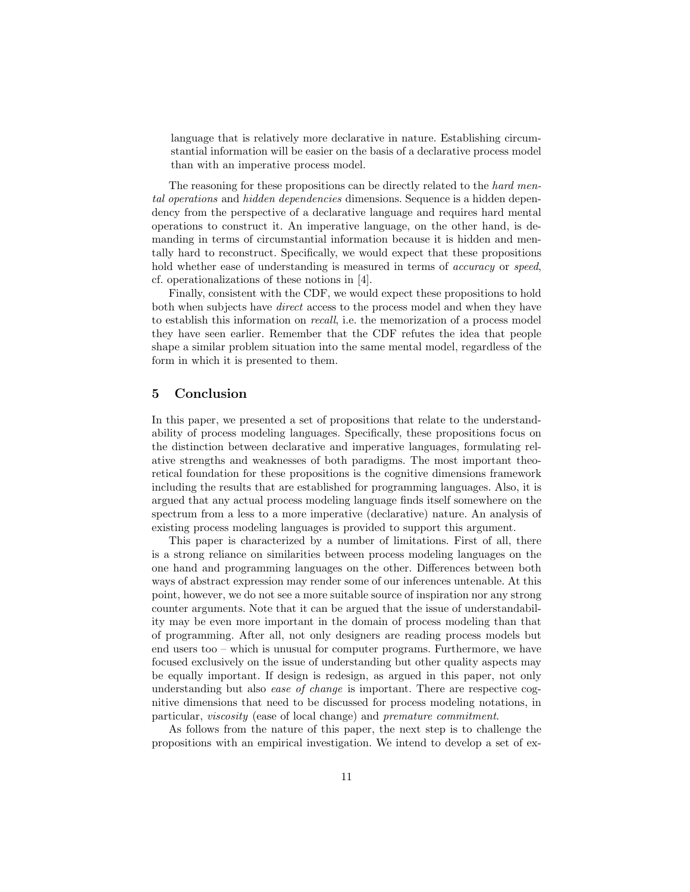language that is relatively more declarative in nature. Establishing circumstantial information will be easier on the basis of a declarative process model than with an imperative process model.

The reasoning for these propositions can be directly related to the hard mental operations and hidden dependencies dimensions. Sequence is a hidden dependency from the perspective of a declarative language and requires hard mental operations to construct it. An imperative language, on the other hand, is demanding in terms of circumstantial information because it is hidden and mentally hard to reconstruct. Specifically, we would expect that these propositions hold whether ease of understanding is measured in terms of *accuracy* or *speed*, cf. operationalizations of these notions in [4].

Finally, consistent with the CDF, we would expect these propositions to hold both when subjects have direct access to the process model and when they have to establish this information on recall, i.e. the memorization of a process model they have seen earlier. Remember that the CDF refutes the idea that people shape a similar problem situation into the same mental model, regardless of the form in which it is presented to them.

## 5 Conclusion

In this paper, we presented a set of propositions that relate to the understandability of process modeling languages. Specifically, these propositions focus on the distinction between declarative and imperative languages, formulating relative strengths and weaknesses of both paradigms. The most important theoretical foundation for these propositions is the cognitive dimensions framework including the results that are established for programming languages. Also, it is argued that any actual process modeling language finds itself somewhere on the spectrum from a less to a more imperative (declarative) nature. An analysis of existing process modeling languages is provided to support this argument.

This paper is characterized by a number of limitations. First of all, there is a strong reliance on similarities between process modeling languages on the one hand and programming languages on the other. Differences between both ways of abstract expression may render some of our inferences untenable. At this point, however, we do not see a more suitable source of inspiration nor any strong counter arguments. Note that it can be argued that the issue of understandability may be even more important in the domain of process modeling than that of programming. After all, not only designers are reading process models but end users too – which is unusual for computer programs. Furthermore, we have focused exclusively on the issue of understanding but other quality aspects may be equally important. If design is redesign, as argued in this paper, not only understanding but also *ease of change* is important. There are respective cognitive dimensions that need to be discussed for process modeling notations, in particular, viscosity (ease of local change) and premature commitment.

As follows from the nature of this paper, the next step is to challenge the propositions with an empirical investigation. We intend to develop a set of ex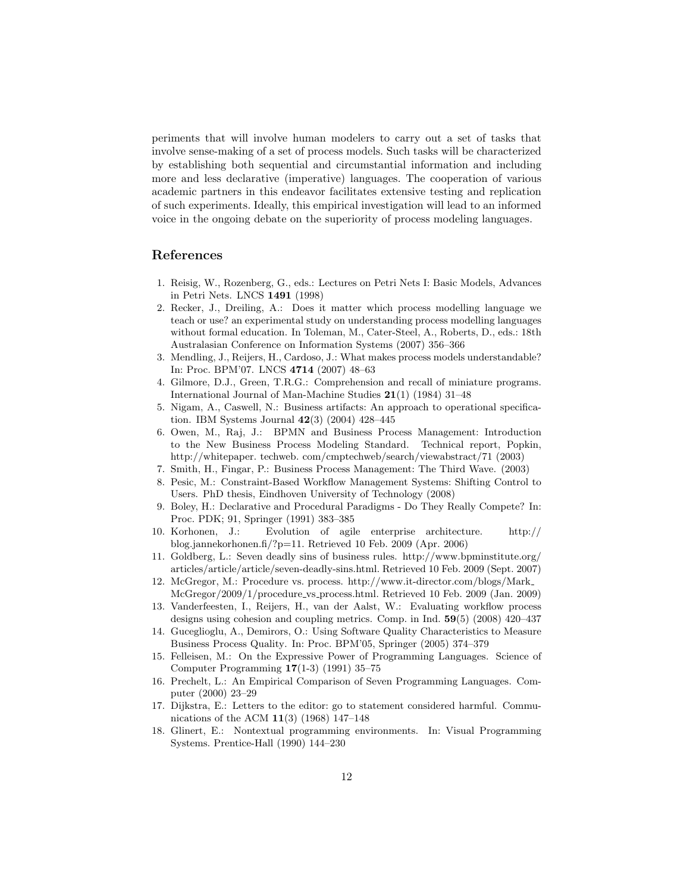periments that will involve human modelers to carry out a set of tasks that involve sense-making of a set of process models. Such tasks will be characterized by establishing both sequential and circumstantial information and including more and less declarative (imperative) languages. The cooperation of various academic partners in this endeavor facilitates extensive testing and replication of such experiments. Ideally, this empirical investigation will lead to an informed voice in the ongoing debate on the superiority of process modeling languages.

## References

- 1. Reisig, W., Rozenberg, G., eds.: Lectures on Petri Nets I: Basic Models, Advances in Petri Nets. LNCS 1491 (1998)
- 2. Recker, J., Dreiling, A.: Does it matter which process modelling language we teach or use? an experimental study on understanding process modelling languages without formal education. In Toleman, M., Cater-Steel, A., Roberts, D., eds.: 18th Australasian Conference on Information Systems (2007) 356–366
- 3. Mendling, J., Reijers, H., Cardoso, J.: What makes process models understandable? In: Proc. BPM'07. LNCS 4714 (2007) 48–63
- 4. Gilmore, D.J., Green, T.R.G.: Comprehension and recall of miniature programs. International Journal of Man-Machine Studies 21(1) (1984) 31–48
- 5. Nigam, A., Caswell, N.: Business artifacts: An approach to operational specification. IBM Systems Journal 42(3) (2004) 428–445
- 6. Owen, M., Raj, J.: BPMN and Business Process Management: Introduction to the New Business Process Modeling Standard. Technical report, Popkin, http://whitepaper. techweb. com/cmptechweb/search/viewabstract/71 (2003)
- 7. Smith, H., Fingar, P.: Business Process Management: The Third Wave. (2003)
- 8. Pesic, M.: Constraint-Based Workflow Management Systems: Shifting Control to Users. PhD thesis, Eindhoven University of Technology (2008)
- 9. Boley, H.: Declarative and Procedural Paradigms Do They Really Compete? In: Proc. PDK; 91, Springer (1991) 383–385
- 10. Korhonen, J.: Evolution of agile enterprise architecture. http:// blog.jannekorhonen.fi/?p=11. Retrieved 10 Feb. 2009 (Apr. 2006)
- 11. Goldberg, L.: Seven deadly sins of business rules. http://www.bpminstitute.org/ articles/article/article/seven-deadly-sins.html. Retrieved 10 Feb. 2009 (Sept. 2007)
- 12. McGregor, M.: Procedure vs. process. http://www.it-director.com/blogs/Mark McGregor/2009/1/procedure vs process.html. Retrieved 10 Feb. 2009 (Jan. 2009)
- 13. Vanderfeesten, I., Reijers, H., van der Aalst, W.: Evaluating workflow process designs using cohesion and coupling metrics. Comp. in Ind. 59(5) (2008) 420–437
- 14. Guceglioglu, A., Demirors, O.: Using Software Quality Characteristics to Measure Business Process Quality. In: Proc. BPM'05, Springer (2005) 374–379
- 15. Felleisen, M.: On the Expressive Power of Programming Languages. Science of Computer Programming 17(1-3) (1991) 35–75
- 16. Prechelt, L.: An Empirical Comparison of Seven Programming Languages. Computer (2000) 23–29
- 17. Dijkstra, E.: Letters to the editor: go to statement considered harmful. Communications of the ACM 11(3) (1968) 147–148
- 18. Glinert, E.: Nontextual programming environments. In: Visual Programming Systems. Prentice-Hall (1990) 144–230